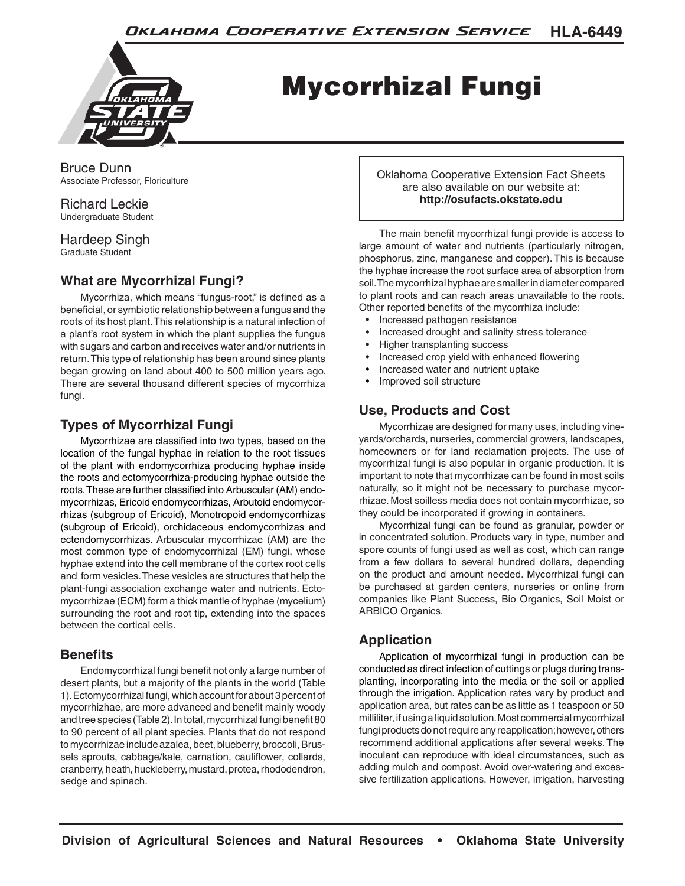

# Mycorrhizal Fungi

Bruce Dunn Associate Professor, Floriculture

Richard Leckie Undergraduate Student

Hardeep Singh Graduate Student

## **What are Mycorrhizal Fungi?**

Mycorrhiza, which means "fungus-root," is defined as a beneficial, or symbiotic relationship between a fungus and the roots of its host plant. This relationship is a natural infection of a plant's root system in which the plant supplies the fungus with sugars and carbon and receives water and/or nutrients in return. This type of relationship has been around since plants began growing on land about 400 to 500 million years ago. There are several thousand different species of mycorrhiza fungi.

#### **Types of Mycorrhizal Fungi**

Mycorrhizae are classified into two types, based on the location of the fungal hyphae in relation to the root tissues of the plant with endomycorrhiza producing hyphae inside the roots and ectomycorrhiza-producing hyphae outside the roots. These are further classified into Arbuscular (AM) endomycorrhizas, Ericoid endomycorrhizas, Arbutoid endomycorrhizas (subgroup of Ericoid), Monotropoid endomycorrhizas (subgroup of Ericoid), orchidaceous endomycorrhizas and ectendomycorrhizas. Arbuscular mycorrhizae (AM) are the most common type of endomycorrhizal (EM) fungi, whose hyphae extend into the cell membrane of the cortex root cells and form vesicles. These vesicles are structures that help the plant-fungi association exchange water and nutrients. Ectomycorrhizae (ECM) form a thick mantle of hyphae (mycelium) surrounding the root and root tip, extending into the spaces between the cortical cells.

#### **Benefits**

Endomycorrhizal fungi benefit not only a large number of desert plants, but a majority of the plants in the world (Table 1). Ectomycorrhizal fungi, which account for about 3 percent of mycorrhizhae, are more advanced and benefit mainly woody and tree species (Table 2). In total, mycorrhizal fungi benefit 80 to 90 percent of all plant species. Plants that do not respond to mycorrhizae include azalea, beet, blueberry, broccoli, Brussels sprouts, cabbage/kale, carnation, cauliflower, collards, cranberry, heath, huckleberry, mustard, protea, rhododendron, sedge and spinach.

Oklahoma Cooperative Extension Fact Sheets are also available on our website at: **http://osufacts.okstate.edu**

The main benefit mycorrhizal fungi provide is access to large amount of water and nutrients (particularly nitrogen, phosphorus, zinc, manganese and copper). This is because the hyphae increase the root surface area of absorption from soil. The mycorrhizal hyphae are smaller in diameter compared to plant roots and can reach areas unavailable to the roots. Other reported benefits of the mycorrhiza include:

- Increased pathogen resistance
- Increased drought and salinity stress tolerance
- Higher transplanting success
- Increased crop yield with enhanced flowering
- Increased water and nutrient uptake
- Improved soil structure

## **Use, Products and Cost**

Mycorrhizae are designed for many uses, including vineyards/orchards, nurseries, commercial growers, landscapes, homeowners or for land reclamation projects. The use of mycorrhizal fungi is also popular in organic production. It is important to note that mycorrhizae can be found in most soils naturally, so it might not be necessary to purchase mycorrhizae. Most soilless media does not contain mycorrhizae, so they could be incorporated if growing in containers.

Mycorrhizal fungi can be found as granular, powder or in concentrated solution. Products vary in type, number and spore counts of fungi used as well as cost, which can range from a few dollars to several hundred dollars, depending on the product and amount needed. Mycorrhizal fungi can be purchased at garden centers, nurseries or online from companies like Plant Success, Bio Organics, Soil Moist or ARBICO Organics.

## **Application**

Application of mycorrhizal fungi in production can be conducted as direct infection of cuttings or plugs during transplanting, incorporating into the media or the soil or applied through the irrigation. Application rates vary by product and application area, but rates can be as little as 1 teaspoon or 50 milliliter, if using a liquid solution. Most commercial mycorrhizal fungi products do not require any reapplication; however, others recommend additional applications after several weeks. The inoculant can reproduce with ideal circumstances, such as adding mulch and compost. Avoid over-watering and excessive fertilization applications. However, irrigation, harvesting